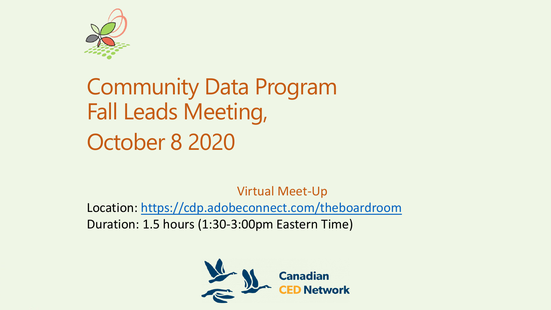

# Community Data Program Fall Leads Meeting, October 8 2020

Virtual Meet-Up Location: <https://cdp.adobeconnect.com/theboardroom> Duration: 1.5 hours (1:30-3:00pm Eastern Time)

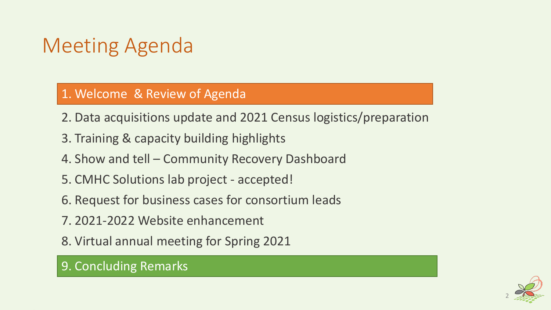# Meeting Agenda

#### 1. Welcome & Review of Agenda

- 2. Data acquisitions update and 2021 Census logistics/preparation
- 3. Training & capacity building highlights
- 4. Show and tell Community Recovery Dashboard
- 5. CMHC Solutions lab project accepted!
- 6. Request for business cases for consortium leads
- 7. 2021-2022 Website enhancement
- 8. Virtual annual meeting for Spring 2021

### 9. Concluding Remarks

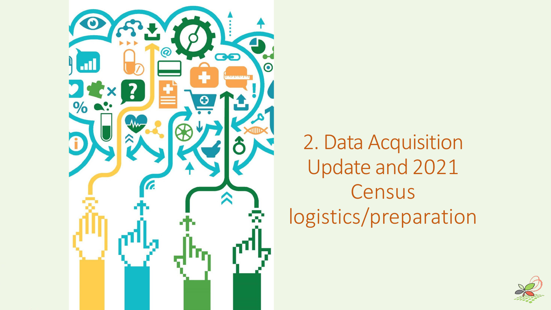

2. Data Acquisition Update and 2021 Census logistics/preparation

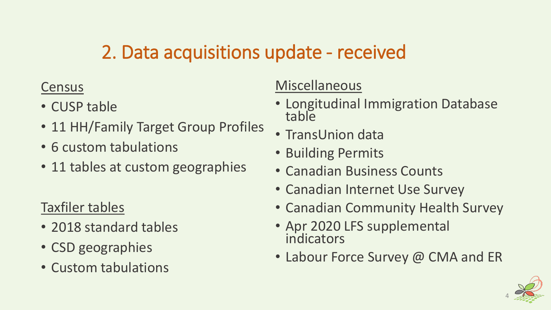# 2. Data acquisitions update - received

### **Census**

- CUSP table
- 11 HH/Family Target Group Profiles
- 6 custom tabulations
- 11 tables at custom geographies

### Taxfiler tables

- 2018 standard tables
- CSD geographies
- Custom tabulations

### **Miscellaneous**

- Longitudinal Immigration Database table
- TransUnion data
- Building Permits
- Canadian Business Counts
- Canadian Internet Use Survey
- Canadian Community Health Survey
- Apr 2020 LFS supplemental indicators
- Labour Force Survey @ CMA and ER

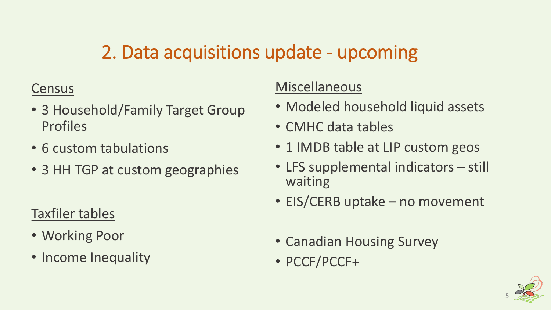# 2. Data acquisitions update - upcoming

### Census

- 3 Household/Family Target Group Profiles
- 6 custom tabulations
- 3 HH TGP at custom geographies

### Taxfiler tables

- Working Poor
- Income Inequality

### Miscellaneous

- Modeled household liquid assets
- CMHC data tables
- 1 IMDB table at LIP custom geos
- LFS supplemental indicators still waiting
- EIS/CERB uptake no movement
- Canadian Housing Survey
- PCCF/PCCF+

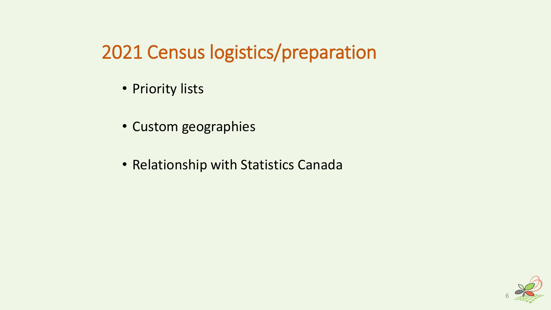2021 Census logistics/preparation

- Priority lists
- Custom geographies
- Relationship with Statistics Canada

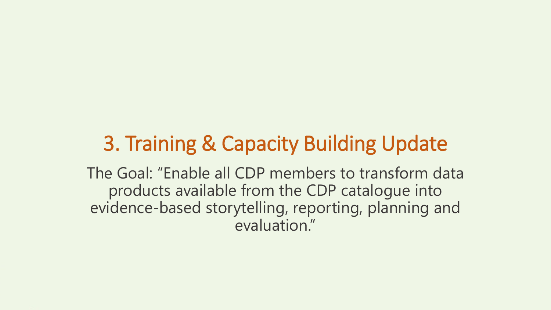# 3. Training & Capacity Building Update

The Goal: "Enable all CDP members to transform data products available from the CDP catalogue into evidence-based storytelling, reporting, planning and evaluation."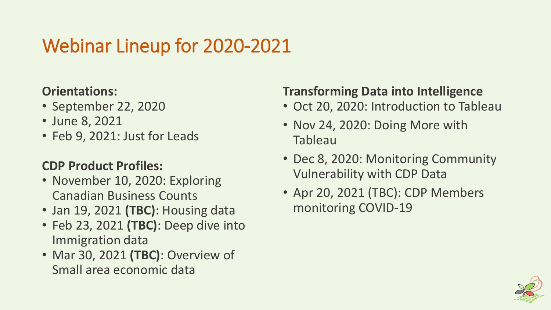# Webinar Lineup for 2020-2021

### **Orientations:**

- September 22, 2020
- June 8, 2021
- Feb 9, 2021: Just for Leads

### **CDP Product Profiles:**

- November 10, 2020: Exploring Canadian Business Counts
- Jan 19, 2021 **(TBC)**: Housing data
- Feb 23, 2021 **(TBC)**: Deep dive into Immigration data
- Mar 30, 2021 **(TBC)**: Overview of Small area economic data

### **Transforming Data into Intelligence**

- Oct 20, 2020: Introduction to Tableau
- Nov 24, 2020: Doing More with Tableau
- Dec 8, 2020: Monitoring Community Vulnerability with CDP Data
- Apr 20, 2021 (TBC): CDP Members monitoring COVID-19

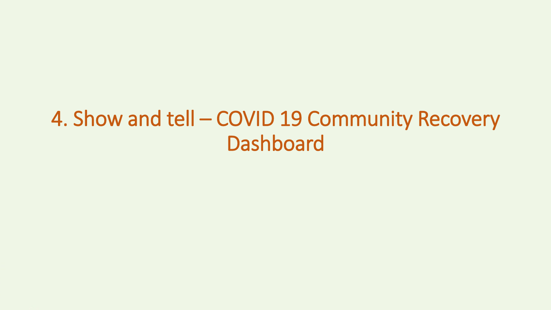# 4. Show and tell – COVID 19 Community Recovery Dashboard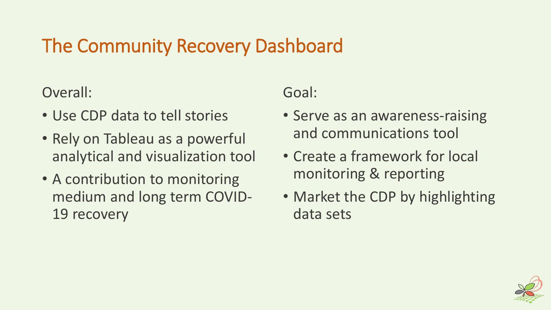# The Community Recovery Dashboard

### Overall:

- Use CDP data to tell stories
- Rely on Tableau as a powerful analytical and visualization tool
- A contribution to monitoring medium and long term COVID-19 recovery

### Goal:

- Serve as an awareness-raising and communications tool
- Create a framework for local monitoring & reporting
- Market the CDP by highlighting data sets

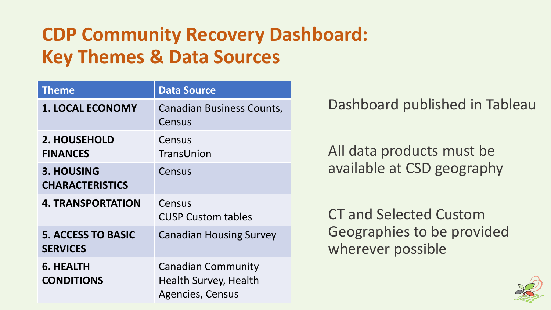# **CDP Community Recovery Dashboard: Key Themes & Data Sources**

| <b>Theme</b>                                 | <b>Data Source</b>                                                                   |
|----------------------------------------------|--------------------------------------------------------------------------------------|
| <b>1. LOCAL ECONOMY</b>                      | <b>Canadian Business Counts,</b><br>Census                                           |
| 2. HOUSEHOLD<br><b>FINANCES</b>              | Census<br>TransUnion                                                                 |
| <b>3. HOUSING</b><br><b>CHARACTERISTICS</b>  | Census                                                                               |
| <b>4. TRANSPORTATION</b>                     | Census<br><b>CUSP Custom tables</b>                                                  |
| <b>5. ACCESS TO BASIC</b><br><b>SERVICES</b> | <b>Canadian Housing Survey</b>                                                       |
| 6. HEALTH<br><b>CONDITIONS</b>               | <b>Canadian Community</b><br><b>Health Survey, Health</b><br><b>Agencies, Census</b> |

Dashboard published in Tableau

All data products must be available at CSD geography

CT and Selected Custom Geographies to be provided wherever possible

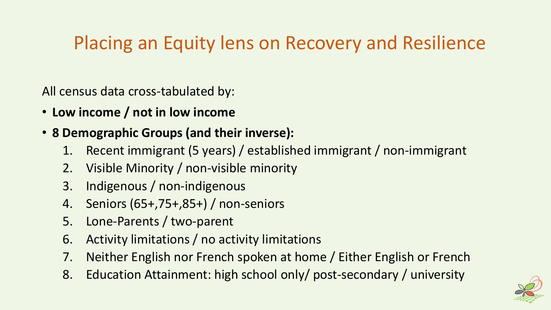# Placing an Equity lens on Recovery and Resilience

All census data cross-tabulated by:

- **Low income / not in low income**
- **8 Demographic Groups (and their inverse):** 
	- 1. Recent immigrant (5 years) / established immigrant / non-immigrant
	- 2. Visible Minority / non-visible minority
	- 3. Indigenous / non-indigenous
	- 4. Seniors (65+,75+,85+) / non-seniors
	- 5. Lone-Parents / two-parent
	- 6. Activity limitations / no activity limitations
	- 7. Neither English nor French spoken at home / Either English or French
	- 8. Education Attainment: high school only/ post-secondary / university

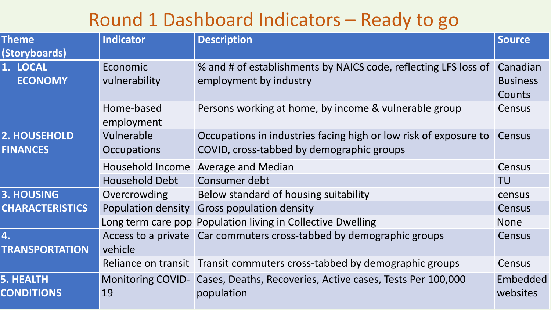## Round 1 Dashboard Indicators – Ready to go

| <b>Theme</b><br>(Storyboards)         | Indicator                                 | <b>Description</b>                                                                                                                      | <b>Source</b>                         |
|---------------------------------------|-------------------------------------------|-----------------------------------------------------------------------------------------------------------------------------------------|---------------------------------------|
| 1. LOCAL<br><b>ECONOMY</b>            | Economic<br>vulnerability                 | % and # of establishments by NAICS code, reflecting LFS loss of<br>employment by industry                                               | Canadian<br><b>Business</b><br>Counts |
|                                       | Home-based<br>employment                  | Persons working at home, by income & vulnerable group                                                                                   | Census                                |
| 2. HOUSEHOLD<br><b>FINANCES</b>       | Vulnerable<br>Occupations                 | Occupations in industries facing high or low risk of exposure to<br>COVID, cross-tabbed by demographic groups                           | Census                                |
|                                       | Household Income<br><b>Household Debt</b> | <b>Average and Median</b><br>Consumer debt                                                                                              | Census<br><b>TU</b>                   |
| 3. HOUSING<br><b>CHARACTERISTICS</b>  | Overcrowding<br><b>Population density</b> | Below standard of housing suitability<br><b>Gross population density</b><br>Long term care pop Population living in Collective Dwelling | census<br>Census<br><b>None</b>       |
| 4.<br><b>TRANSPORTATION</b>           | vehicle                                   | Access to a private   Car commuters cross-tabbed by demographic groups                                                                  | Census                                |
|                                       |                                           | Reliance on transit Transit commuters cross-tabbed by demographic groups                                                                | Census                                |
| <b>5. HEALTH</b><br><b>CONDITIONS</b> | 19                                        | Monitoring COVID- Cases, Deaths, Recoveries, Active cases, Tests Per 100,000<br>population                                              | Embedded<br>websites                  |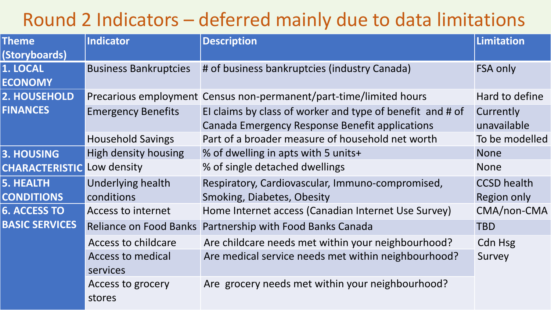# Round 2 Indicators – deferred mainly due to data limitations

| <b>Theme</b><br>(Storyboards)         | <b>Indicator</b>                     | <b>Description</b>                                                                                          | <b>Limitation</b>                 |
|---------------------------------------|--------------------------------------|-------------------------------------------------------------------------------------------------------------|-----------------------------------|
| 1. LOCAL<br><b>ECONOMY</b>            | <b>Business Bankruptcies</b>         | # of business bankruptcies (industry Canada)                                                                | FSA only                          |
| 2. HOUSEHOLD                          |                                      | Precarious employment Census non-permanent/part-time/limited hours                                          | Hard to define                    |
| <b>FINANCES</b>                       | <b>Emergency Benefits</b>            | El claims by class of worker and type of benefit and # of<br>Canada Emergency Response Benefit applications | Currently<br>unavailable          |
|                                       | <b>Household Savings</b>             | Part of a broader measure of household net worth                                                            | To be modelled                    |
| 3. HOUSING                            | High density housing                 | % of dwelling in apts with 5 units+                                                                         | <b>None</b>                       |
| <b>CHARACTERISTIC</b>                 | Low density                          | % of single detached dwellings                                                                              | <b>None</b>                       |
| <b>5. HEALTH</b><br><b>CONDITIONS</b> | Underlying health<br>conditions      | Respiratory, Cardiovascular, Immuno-compromised,<br><b>Smoking, Diabetes, Obesity</b>                       | <b>CCSD</b> health<br>Region only |
| <b>6. ACCESS TO</b>                   | <b>Access to internet</b>            | Home Internet access (Canadian Internet Use Survey)                                                         | CMA/non-CMA                       |
| <b>BASIC SERVICES</b>                 |                                      | Reliance on Food Banks Partnership with Food Banks Canada                                                   | <b>TBD</b>                        |
|                                       | <b>Access to childcare</b>           | Are childcare needs met within your neighbourhood?                                                          | Cdn Hsg                           |
|                                       | <b>Access to medical</b><br>services | Are medical service needs met within neighbourhood?                                                         | Survey                            |
|                                       | Access to grocery<br>stores          | Are grocery needs met within your neighbourhood?                                                            |                                   |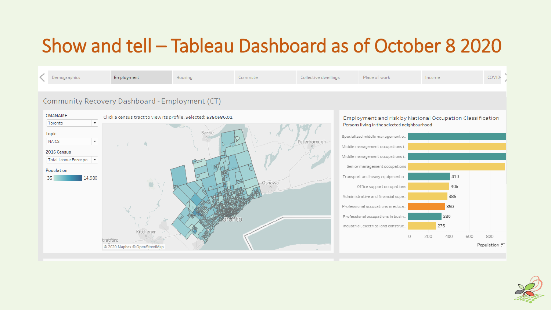# Show and tell – Tableau Dashboard as of October 8 2020



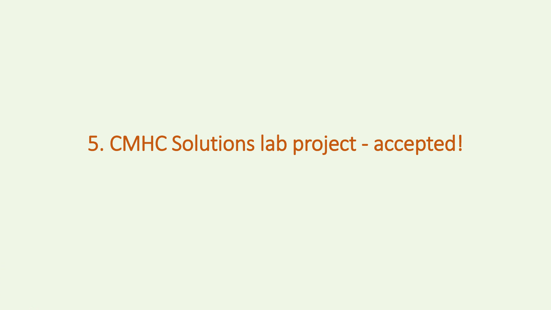# 5. CMHC Solutions lab project - accepted!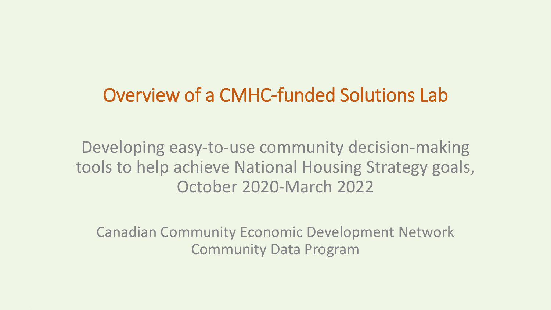## Overview of a CMHC-funded Solutions Lab

Developing easy-to-use community decision-making tools to help achieve National Housing Strategy goals, October 2020-March 2022

Canadian Community Economic Development Network Community Data Program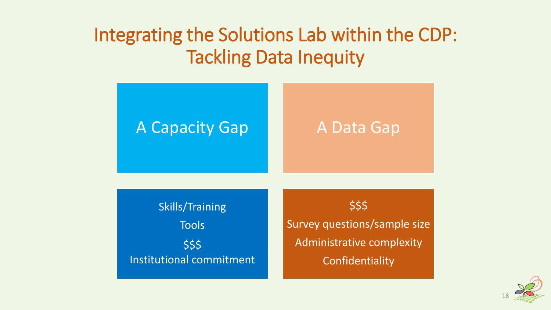## Integrating the Solutions Lab within the CDP: Tackling Data Inequity



Confidentiality

Institutional commitment

18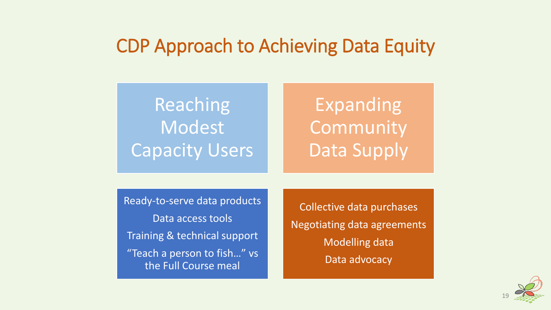## CDP Approach to Achieving Data Equity

# Reaching Modest Capacity Users

# Expanding **Community** Data Supply

Ready-to-serve data products Data access tools Training & technical support "Teach a person to fish…" vs the Full Course meal

Collective data purchases Negotiating data agreements Modelling data Data advocacy

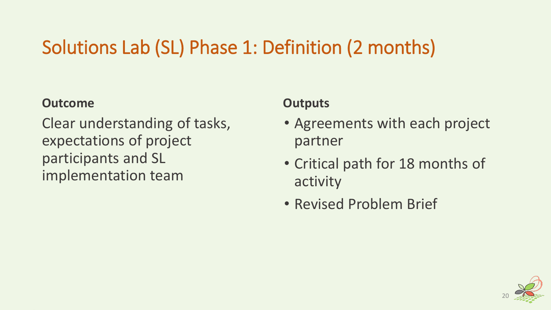# Solutions Lab (SL) Phase 1: Definition (2 months)

#### **Outcome**

Clear understanding of tasks, expectations of project participants and SL implementation team

- Agreements with each project partner
- Critical path for 18 months of activity
- Revised Problem Brief

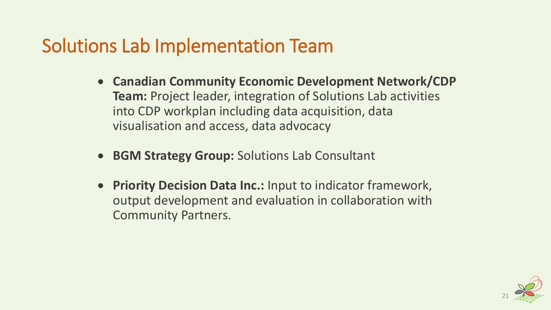## Solutions Lab Implementation Team

- **Canadian Community Economic Development Network/CDP Team:** Project leader, integration of Solutions Lab activities into CDP workplan including data acquisition, data visualisation and access, data advocacy
- **BGM Strategy Group:** Solutions Lab Consultant
- **Priority Decision Data Inc.:** Input to indicator framework, output development and evaluation in collaboration with Community Partners.

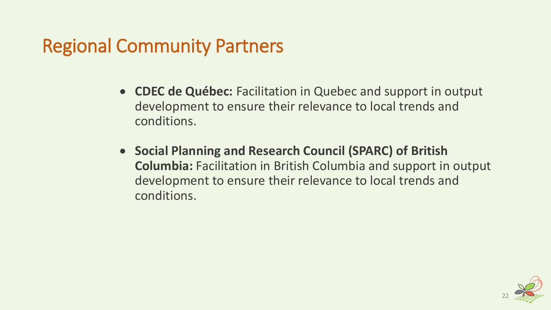## Regional Community Partners

- **CDEC de Québec:** Facilitation in Quebec and support in output development to ensure their relevance to local trends and conditions.
- **Social Planning and Research Council (SPARC) of British Columbia:** Facilitation in British Columbia and support in output development to ensure their relevance to local trends and conditions.

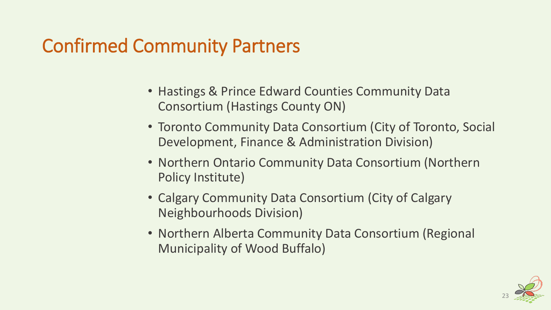# Confirmed Community Partners

- Hastings & Prince Edward Counties Community Data Consortium (Hastings County ON)
- Toronto Community Data Consortium (City of Toronto, Social Development, Finance & Administration Division)
- Northern Ontario Community Data Consortium (Northern Policy Institute)
- Calgary Community Data Consortium (City of Calgary Neighbourhoods Division)
- Northern Alberta Community Data Consortium (Regional Municipality of Wood Buffalo)

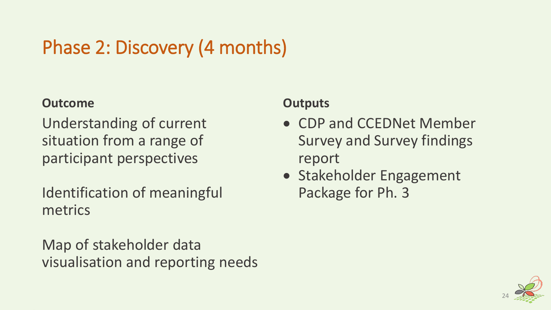# Phase 2: Discovery (4 months)

### **Outcome**

Understanding of current situation from a range of participant perspectives

Identification of meaningful metrics

Map of stakeholder data visualisation and reporting needs

- CDP and CCEDNet Member Survey and Survey findings report
- Stakeholder Engagement Package for Ph. 3

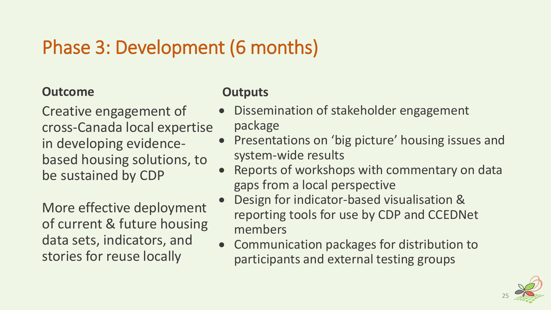# Phase 3: Development (6 months)

#### **Outcome**

Creative engagement of cross-Canada local expertise in developing evidencebased housing solutions, to be sustained by CDP

More effective deployment of current & future housing data sets, indicators, and stories for reuse locally

- Dissemination of stakeholder engagement package
- Presentations on 'big picture' housing issues and system-wide results
- Reports of workshops with commentary on data gaps from a local perspective
- Design for indicator-based visualisation & reporting tools for use by CDP and CCEDNet members
- Communication packages for distribution to participants and external testing groups

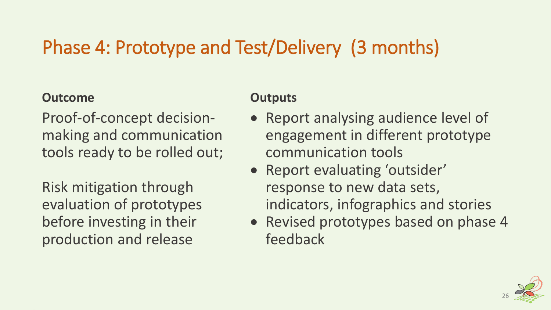# Phase 4: Prototype and Test/Delivery (3 months)

#### **Outcome**

Proof-of-concept decisionmaking and communication tools ready to be rolled out;

Risk mitigation through evaluation of prototypes before investing in their production and release

- Report analysing audience level of engagement in different prototype communication tools
- Report evaluating 'outsider' response to new data sets, indicators, infographics and stories
- Revised prototypes based on phase 4 feedback

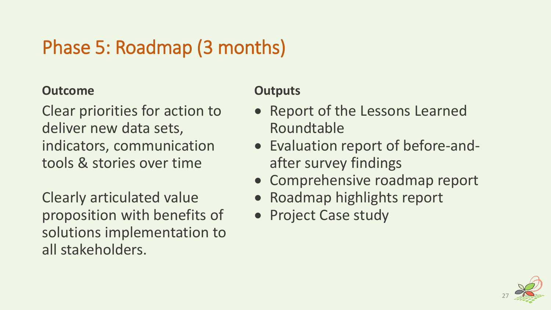# Phase 5: Roadmap (3 months)

#### **Outcome**

Clear priorities for action to deliver new data sets, indicators, communication tools & stories over time

Clearly articulated value proposition with benefits of solutions implementation to all stakeholders.

- Report of the Lessons Learned Roundtable
- Evaluation report of before-andafter survey findings
- Comprehensive roadmap report
- Roadmap highlights report
- Project Case study

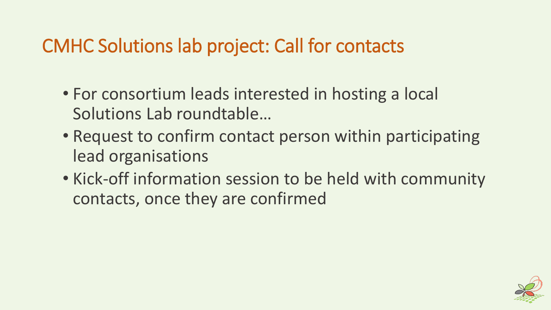# CMHC Solutions lab project: Call for contacts

- For consortium leads interested in hosting a local Solutions Lab roundtable…
- Request to confirm contact person within participating lead organisations
- Kick-off information session to be held with community contacts, once they are confirmed

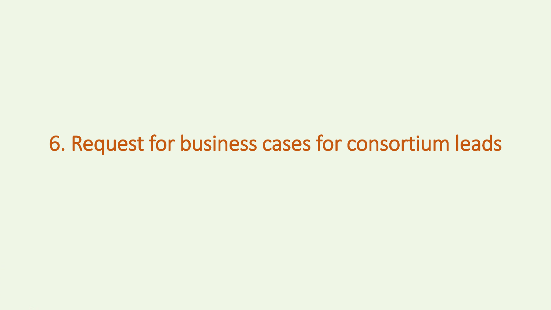# 6. Request for business cases for consortium leads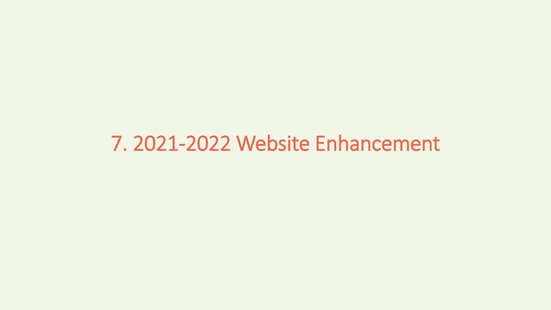# 7. 2021-2022 Website Enhancement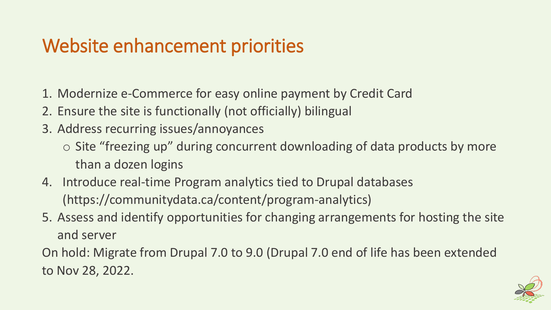# Website enhancement priorities

- 1. Modernize e-Commerce for easy online payment by Credit Card
- 2. Ensure the site is functionally (not officially) bilingual
- 3. Address recurring issues/annoyances
	- o Site "freezing up" during concurrent downloading of data products by more than a dozen logins
- 4. Introduce real-time Program analytics tied to Drupal databases (https://communitydata.ca/content/program-analytics)
- 5. Assess and identify opportunities for changing arrangements for hosting the site and server

On hold: Migrate from Drupal 7.0 to 9.0 (Drupal 7.0 end of life has been extended to Nov 28, 2022.

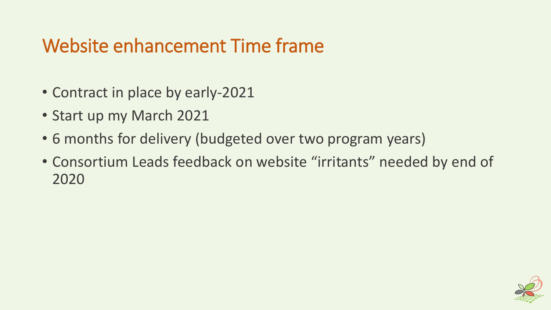# Website enhancement Time frame

- Contract in place by early-2021
- Start up my March 2021
- 6 months for delivery (budgeted over two program years)
- Consortium Leads feedback on website "irritants" needed by end of 2020

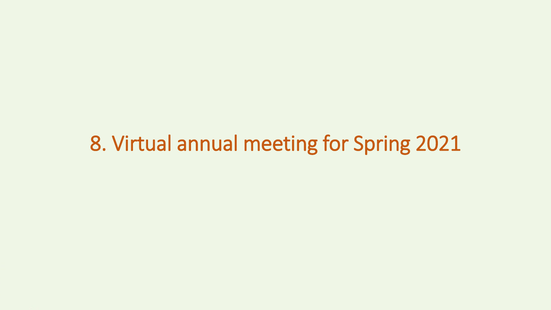# 8. Virtual annual meeting for Spring 2021